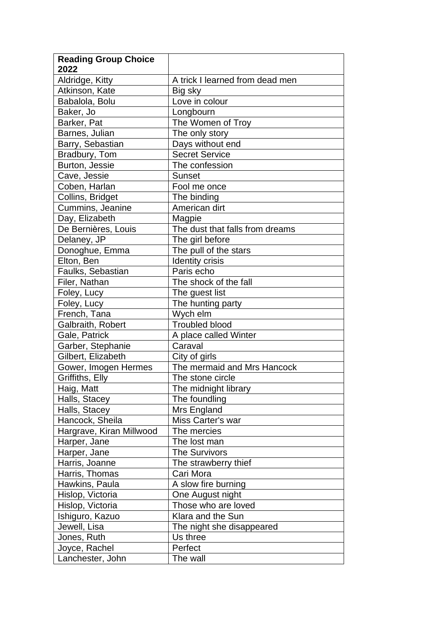| <b>Reading Group Choice</b> |                                 |
|-----------------------------|---------------------------------|
| 2022                        |                                 |
| Aldridge, Kitty             | A trick I learned from dead men |
| Atkinson, Kate              | Big sky                         |
| Babalola, Bolu              | Love in colour                  |
| Baker, Jo                   | Longbourn                       |
| Barker, Pat                 | The Women of Troy               |
| Barnes, Julian              | The only story                  |
| Barry, Sebastian            | Days without end                |
| Bradbury, Tom               | <b>Secret Service</b>           |
| Burton, Jessie              | The confession                  |
| Cave, Jessie                | <b>Sunset</b>                   |
| Coben, Harlan               | Fool me once                    |
| Collins, Bridget            | The binding                     |
| Cummins, Jeanine            | American dirt                   |
| Day, Elizabeth              | Magpie                          |
| De Bernières, Louis         | The dust that falls from dreams |
| Delaney, JP                 | The girl before                 |
| Donoghue, Emma              | The pull of the stars           |
| Elton, Ben                  | <b>Identity crisis</b>          |
| Faulks, Sebastian           | Paris echo                      |
| Filer, Nathan               | The shock of the fall           |
| Foley, Lucy                 | The guest list                  |
| Foley, Lucy                 | The hunting party               |
| French, Tana                | Wych elm                        |
| Galbraith, Robert           | <b>Troubled blood</b>           |
| Gale, Patrick               | A place called Winter           |
| Garber, Stephanie           | Caraval                         |
| Gilbert, Elizabeth          | City of girls                   |
| Gower, Imogen Hermes        | The mermaid and Mrs Hancock     |
| Griffiths, Elly             | The stone circle                |
| Haig, Matt                  | The midnight library            |
| Halls, Stacey               | The foundling                   |
| Halls, Stacey               | Mrs England                     |
| Hancock, Sheila             | Miss Carter's war               |
| Hargrave, Kiran Millwood    | The mercies                     |
| Harper, Jane                | The lost man                    |
| Harper, Jane                | <b>The Survivors</b>            |
| Harris, Joanne              | The strawberry thief            |
| Harris, Thomas              | Cari Mora                       |
| Hawkins, Paula              | A slow fire burning             |
| Hislop, Victoria            | One August night                |
| Hislop, Victoria            | Those who are loved             |
|                             |                                 |
| Ishiguro, Kazuo             | Klara and the Sun               |
| Jewell, Lisa                | The night she disappeared       |
| Jones, Ruth                 | Us three                        |
| Joyce, Rachel               | Perfect                         |
| Lanchester, John            | The wall                        |